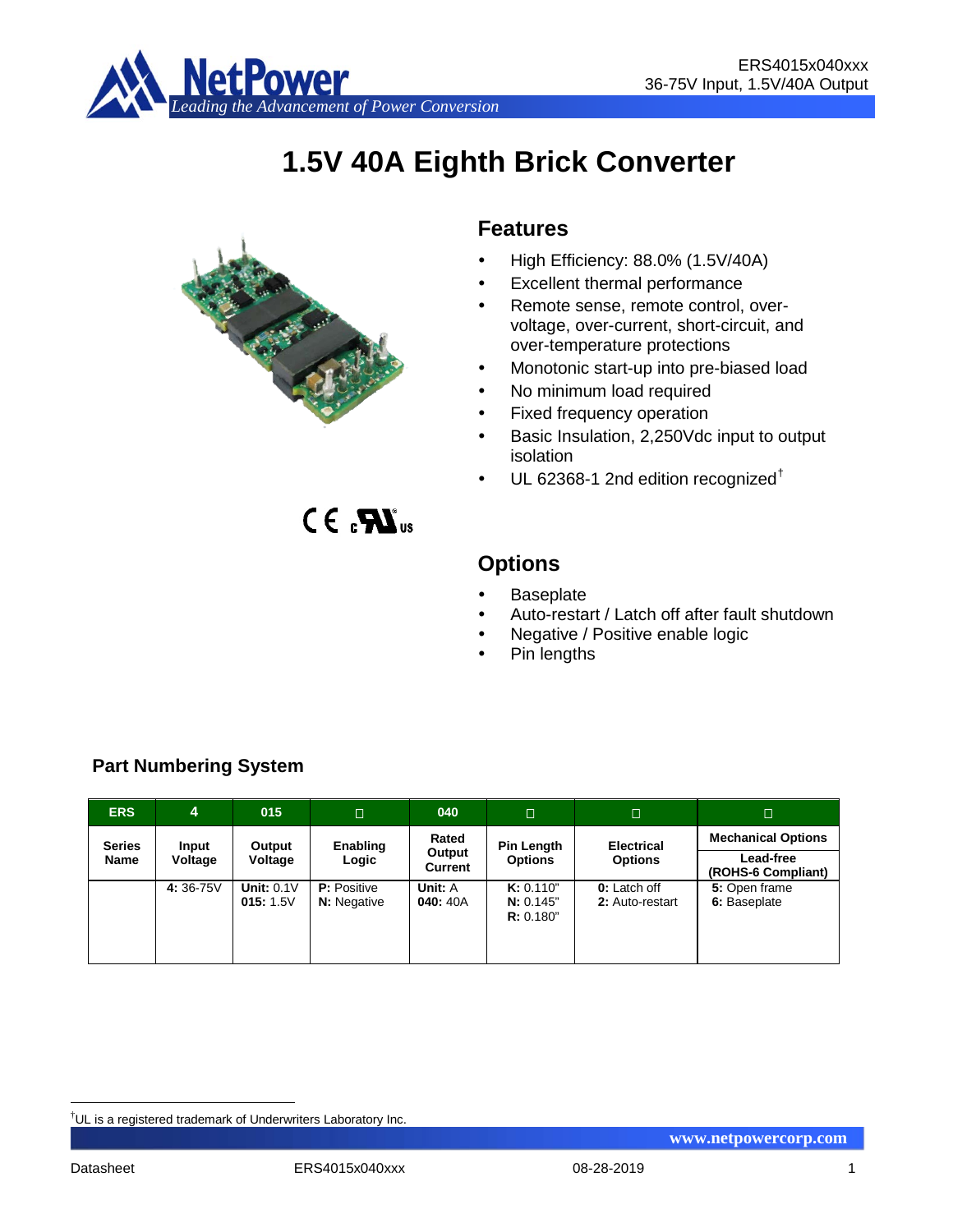

# **1.5V 40A Eighth Brick Converter**



 $C \in \mathbf{R}$ <sub>us</sub>

## **Features**

- $\bullet$  High Efficiency: 88.0% (1.5V/40A)
- Excellent thermal performance
- Remote sense, remote control, overvoltage, over-current, short-circuit, and over-temperature protections
- Monotonic start-up into pre-biased load
- No minimum load required
- Fixed frequency operation
- Basic Insulation, 2,250Vdc input to output isolation
- UL 62368-1 2nd edition recognized[†](#page-0-0)

**Options**

- **Baseplate**
- Auto-restart / Latch off after fault shutdown
- Negative / Positive enable logic
- Pin lengths

| <b>ERS</b>    | 4        | 015                           | $\Box$                                   | 040                                        | $\Box$                              | $\Box$                          |                               |
|---------------|----------|-------------------------------|------------------------------------------|--------------------------------------------|-------------------------------------|---------------------------------|-------------------------------|
| <b>Series</b> | Input    | Output                        | Enabling                                 | Rated                                      | <b>Pin Length</b>                   | <b>Electrical</b>               | <b>Mechanical Options</b>     |
| Name          | Voltage  | Voltage                       | Logic                                    | Output<br><b>Options</b><br><b>Current</b> | <b>Options</b>                      | Lead-free<br>(ROHS-6 Compliant) |                               |
|               | 4:36-75V | <b>Unit: 0.1V</b><br>015:1.5V | <b>P:</b> Positive<br><b>N:</b> Negative | Unit: A<br>040: 40A                        | K: 0.110"<br>N: 0.145"<br>R: 0.180" | 0: Latch off<br>2: Auto-restart | 5: Open frame<br>6: Baseplate |

## **Part Numbering System**

<span id="page-0-0"></span><sup>|&</sup>lt;br>|<br>| UL is a registered trademark of Underwriters Laboratory Inc.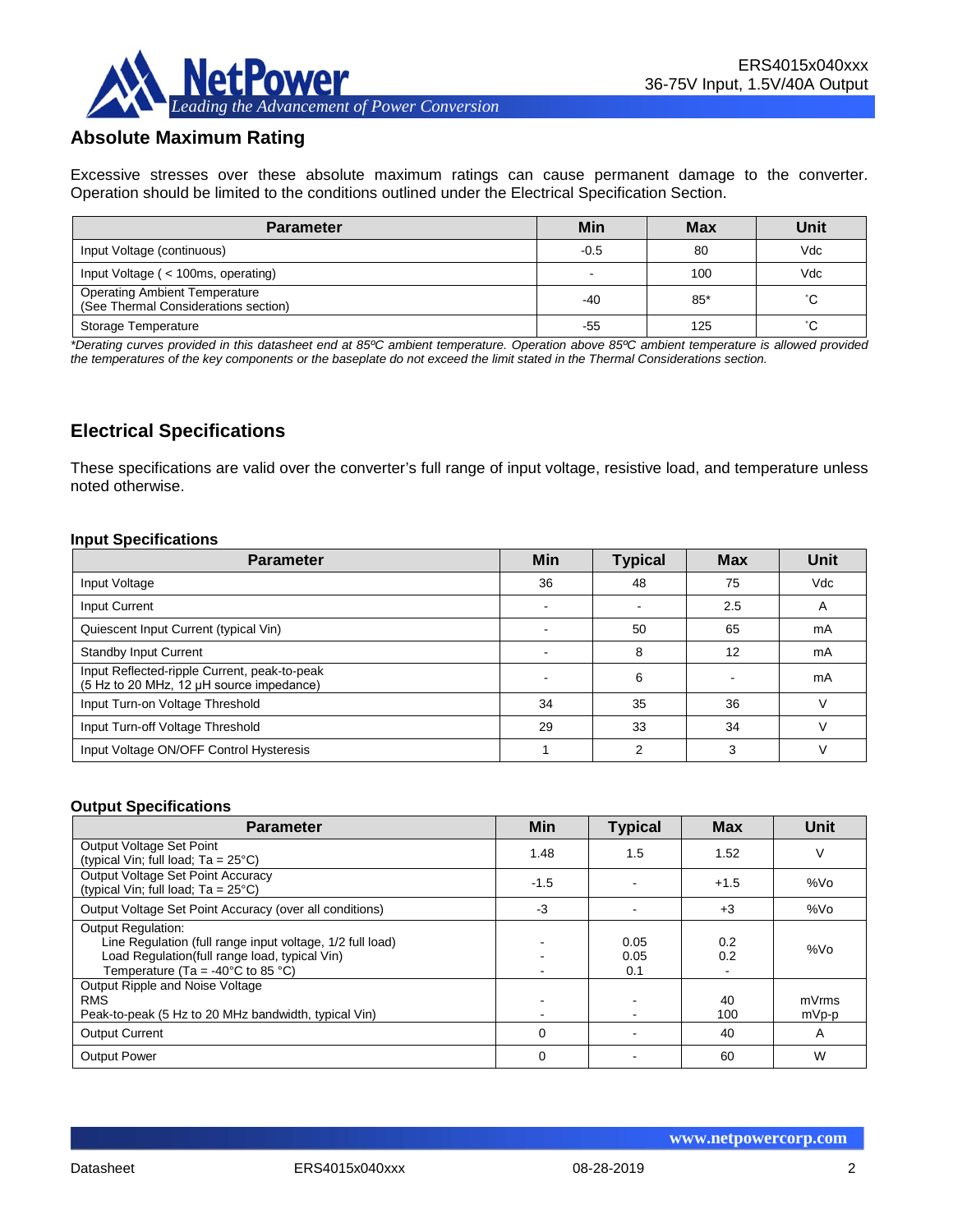

## **Absolute Maximum Rating**

Excessive stresses over these absolute maximum ratings can cause permanent damage to the converter. Operation should be limited to the conditions outlined under the Electrical Specification Section.

| <b>Parameter</b>                                                             | Min                      | <b>Max</b> | Unit |
|------------------------------------------------------------------------------|--------------------------|------------|------|
| Input Voltage (continuous)                                                   | $-0.5$                   | 80         | Vdc  |
| Input Voltage (< 100ms, operating)                                           | $\overline{\phantom{0}}$ | 100        | Vdc  |
| <b>Operating Ambient Temperature</b><br>(See Thermal Considerations section) | $-40$                    | $85*$      | °С   |
| Storage Temperature                                                          | -55                      | 125        | °С   |

*\*Derating curves provided in this datasheet end at 85ºC ambient temperature. Operation above 85ºC ambient temperature is allowed provided the temperatures of the key components or the baseplate do not exceed the limit stated in the Thermal Considerations section.*

## **Electrical Specifications**

These specifications are valid over the converter's full range of input voltage, resistive load, and temperature unless noted otherwise.

#### **Input Specifications**

| <b>Parameter</b>                                                                         | <b>Min</b> | <b>Typical</b> | <b>Max</b> | <b>Unit</b> |
|------------------------------------------------------------------------------------------|------------|----------------|------------|-------------|
| Input Voltage                                                                            | 36         | 48             | 75         | Vdc         |
| Input Current                                                                            |            |                | 2.5        | A           |
| Quiescent Input Current (typical Vin)                                                    |            | 50             | 65         | mA          |
| <b>Standby Input Current</b>                                                             |            | 8              | 12         | mA          |
| Input Reflected-ripple Current, peak-to-peak<br>(5 Hz to 20 MHz, 12 µH source impedance) |            | 6              |            | mA          |
| Input Turn-on Voltage Threshold                                                          | 34         | 35             | 36         |             |
| Input Turn-off Voltage Threshold                                                         | 29         | 33             | 34         |             |
| Input Voltage ON/OFF Control Hysteresis                                                  |            | っ              | 3          |             |

#### **Output Specifications**

| <b>Parameter</b>                                                                                                                                                                                  | <b>Min</b>  | <b>Typical</b>      | <b>Max</b> | Unit           |
|---------------------------------------------------------------------------------------------------------------------------------------------------------------------------------------------------|-------------|---------------------|------------|----------------|
| Output Voltage Set Point<br>(typical Vin; full load; $Ta = 25^{\circ}C$ )                                                                                                                         | 1.48        | 1.5                 | 1.52       | V              |
| Output Voltage Set Point Accuracy<br>(typical Vin; full load; $Ta = 25^{\circ}C$ )                                                                                                                | $-1.5$      |                     | $+1.5$     | %Vo            |
| Output Voltage Set Point Accuracy (over all conditions)                                                                                                                                           | $-3$        |                     | $+3$       | %Vo            |
| <b>Output Regulation:</b><br>Line Regulation (full range input voltage, 1/2 full load)<br>Load Regulation(full range load, typical Vin)<br>Temperature (Ta = -40 $^{\circ}$ C to 85 $^{\circ}$ C) |             | 0.05<br>0.05<br>0.1 | 0.2<br>0.2 | %Vo            |
| Output Ripple and Noise Voltage<br><b>RMS</b><br>Peak-to-peak (5 Hz to 20 MHz bandwidth, typical Vin)                                                                                             |             |                     | 40<br>100  | mVrms<br>mVp-p |
| <b>Output Current</b>                                                                                                                                                                             | $\mathbf 0$ |                     | 40         | A              |
| <b>Output Power</b>                                                                                                                                                                               | $\mathbf 0$ |                     | 60         | W              |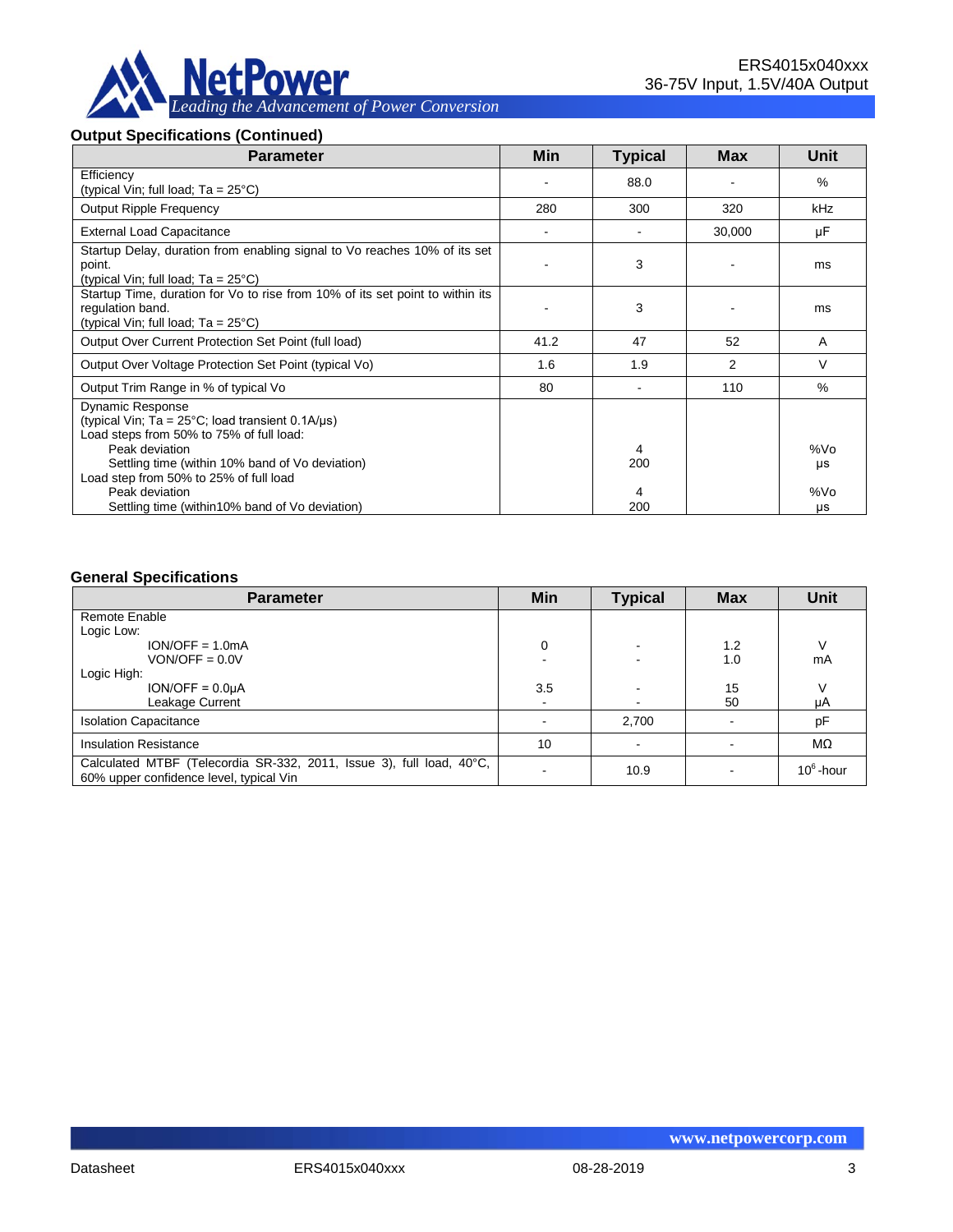

#### **Output Specifications (Continued)**

| <b>Parameter</b>                                                                                                                                           | Min                      | <b>Typical</b> | <b>Max</b> | Unit      |
|------------------------------------------------------------------------------------------------------------------------------------------------------------|--------------------------|----------------|------------|-----------|
| Efficiency<br>(typical Vin; full load; $Ta = 25^{\circ}C$ )                                                                                                |                          | 88.0           |            | $\%$      |
| <b>Output Ripple Frequency</b>                                                                                                                             | 280                      | 300            | 320        | kHz       |
| <b>External Load Capacitance</b>                                                                                                                           | $\overline{\phantom{a}}$ |                | 30,000     | μF        |
| Startup Delay, duration from enabling signal to Vo reaches 10% of its set<br>point.<br>(typical Vin; full load; $Ta = 25^{\circ}C$ )                       |                          | 3              |            | ms        |
| Startup Time, duration for Vo to rise from 10% of its set point to within its<br>regulation band.<br>(typical Vin; full load; $Ta = 25^{\circ}C$ )         |                          | 3              |            | ms        |
| Output Over Current Protection Set Point (full load)                                                                                                       | 41.2                     | 47             | 52         | A         |
| Output Over Voltage Protection Set Point (typical Vo)                                                                                                      | 1.6                      | 1.9            | 2          | V         |
| Output Trim Range in % of typical Vo                                                                                                                       | 80                       |                | 110        | $\%$      |
| <b>Dynamic Response</b><br>(typical Vin; $Ta = 25^{\circ}C$ ; load transient 0.1A/ $\mu s$ )<br>Load steps from 50% to 75% of full load:<br>Peak deviation |                          | 4              |            | %Vo       |
| Settling time (within 10% band of Vo deviation)<br>Load step from 50% to 25% of full load<br>Peak deviation                                                |                          | 200<br>4       |            | μs<br>%Vo |
| Settling time (within 10% band of Vo deviation)                                                                                                            |                          | 200            |            | μs        |

#### **General Specifications**

| <b>Parameter</b>                                                                                                | Min | <b>Typical</b> | <b>Max</b> | <b>Unit</b>  |
|-----------------------------------------------------------------------------------------------------------------|-----|----------------|------------|--------------|
| Remote Enable                                                                                                   |     |                |            |              |
| Logic Low:                                                                                                      |     |                |            |              |
| $ION/OFF = 1.0mA$                                                                                               | 0   |                | 1.2        |              |
| $VON/OFF = 0.0V$                                                                                                |     |                | 1.0        | mA           |
| Logic High:                                                                                                     |     |                |            |              |
| $ION/OFF = 0.0µA$                                                                                               | 3.5 |                | 15         |              |
| Leakage Current                                                                                                 |     |                | 50         | μA           |
| <b>Isolation Capacitance</b>                                                                                    |     | 2,700          |            | pF           |
| <b>Insulation Resistance</b>                                                                                    | 10  |                |            | MΩ           |
| Calculated MTBF (Telecordia SR-332, 2011, Issue 3), full load, 40°C,<br>60% upper confidence level, typical Vin |     | 10.9           |            | $10^6$ -hour |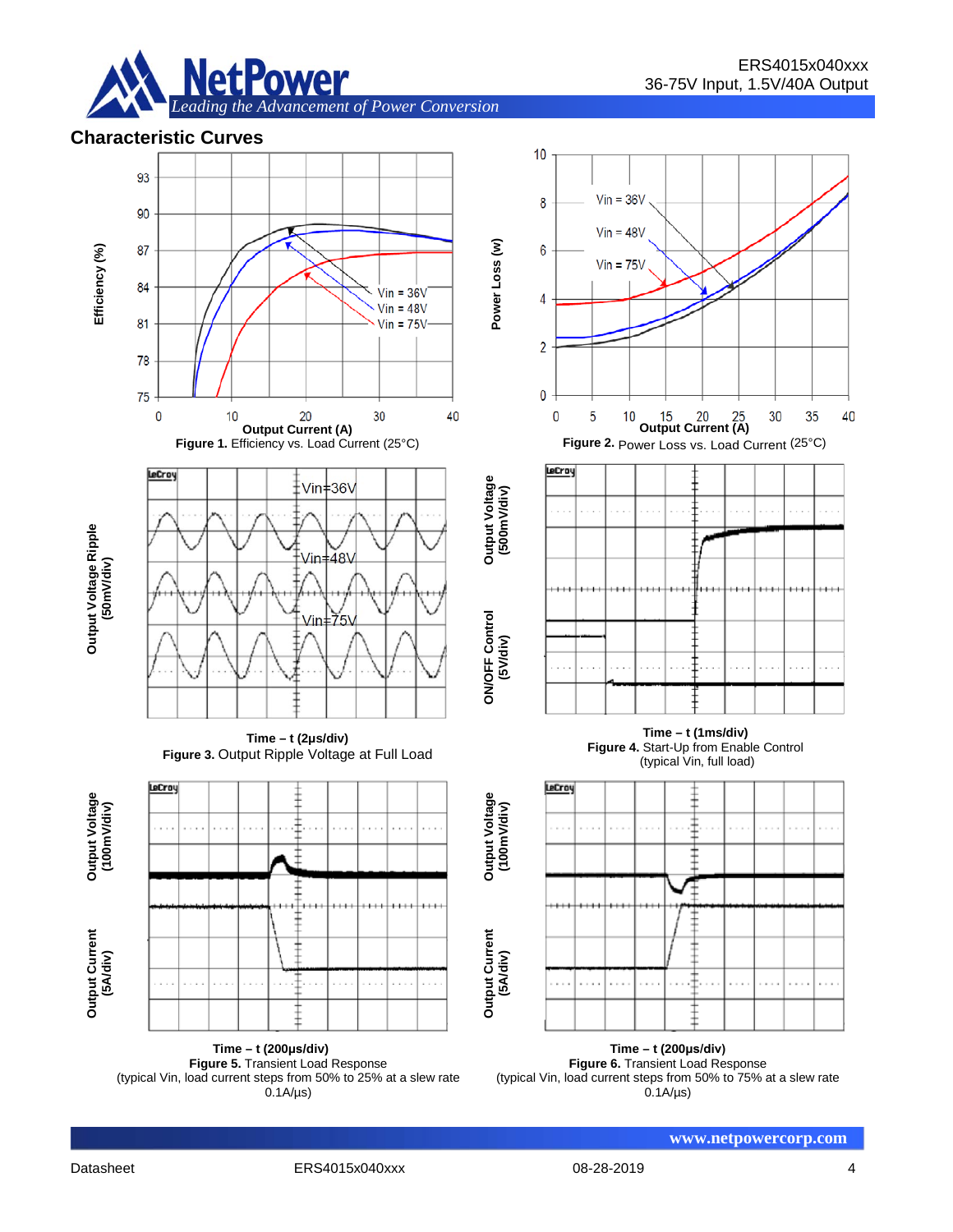

#### **Characteristic Curves**



**Time – t (200μs/div) Figure 5.** Transient Load Response (typical Vin, load current steps from 50% to 25% at a slew rate  $0.1A/\mu s$ 

**Time – t (200μs/div) Figure 6.** Transient Load Response (typical Vin, load current steps from 50% to 75% at a slew rate  $0.1A/\mu s$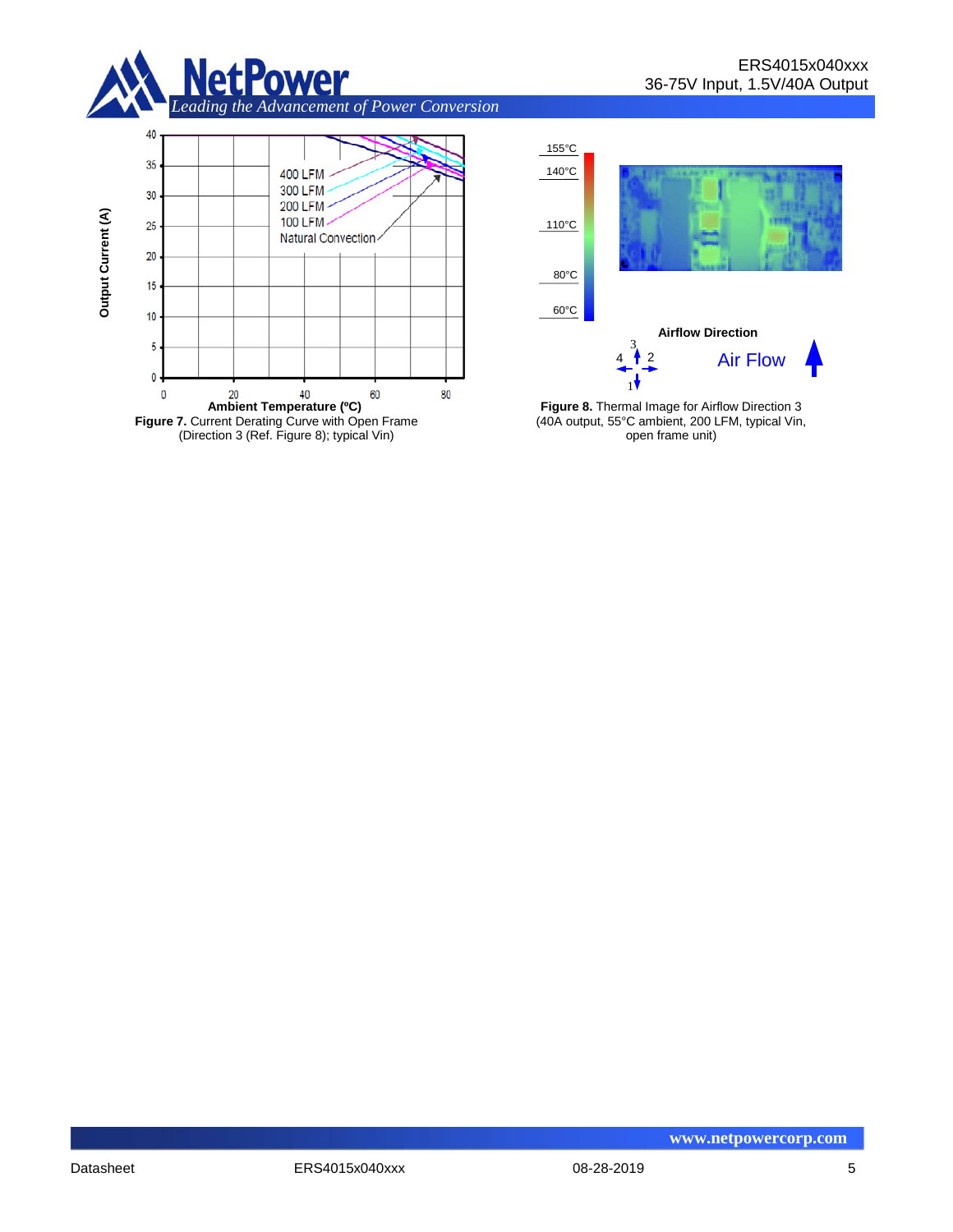





**Figure 8.** Thermal Image for Airflow Direction 3 (40A output, 55°C ambient, 200 LFM, typical Vin, open frame unit)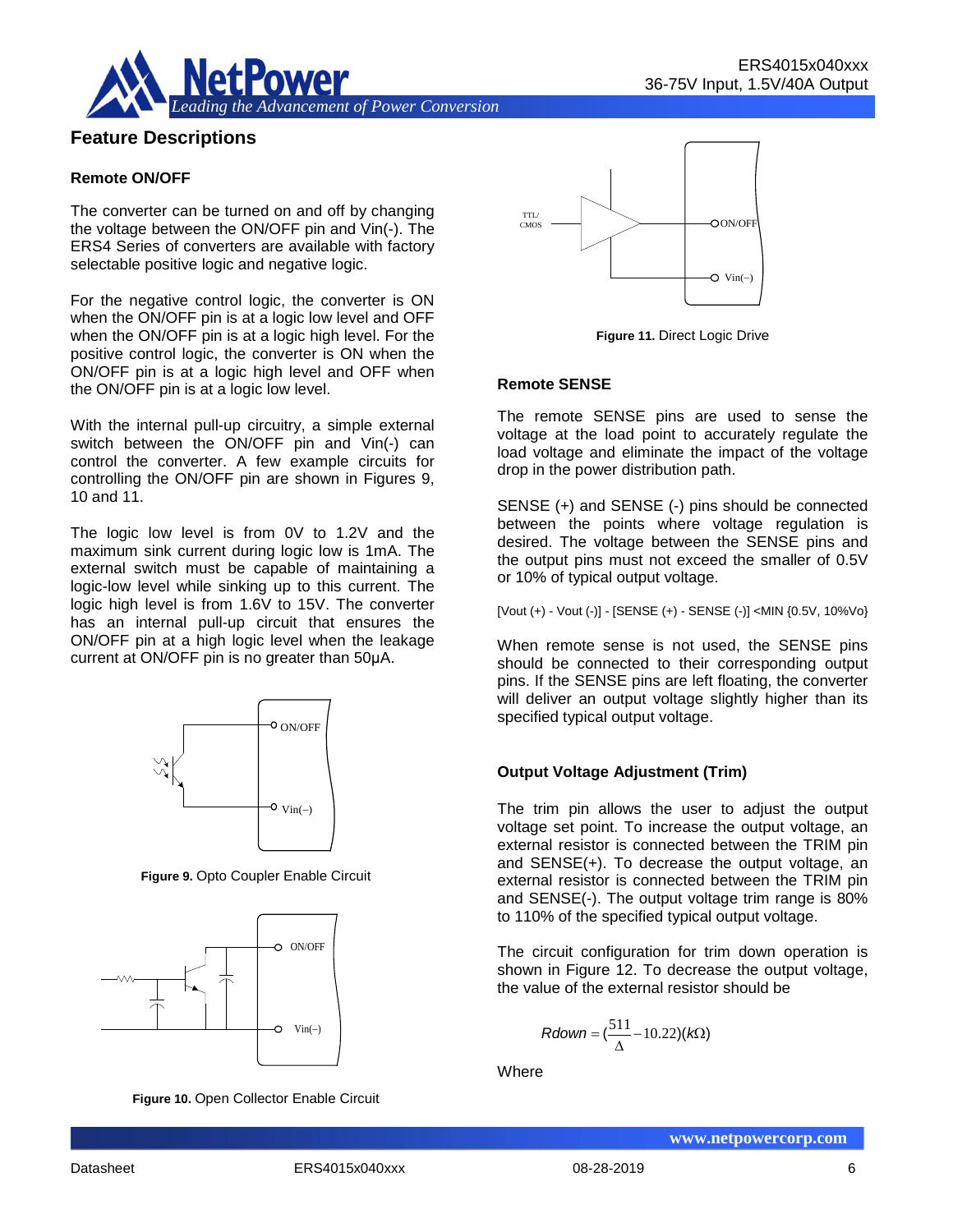

## **Feature Descriptions**

#### **Remote ON/OFF**

The converter can be turned on and off by changing the voltage between the ON/OFF pin and Vin(-). The ERS4 Series of converters are available with factory selectable positive logic and negative logic.

For the negative control logic, the converter is ON when the ON/OFF pin is at a logic low level and OFF when the ON/OFF pin is at a logic high level. For the positive control logic, the converter is ON when the ON/OFF pin is at a logic high level and OFF when the ON/OFF pin is at a logic low level.

With the internal pull-up circuitry, a simple external switch between the ON/OFF pin and Vin(-) can control the converter. A few example circuits for controlling the ON/OFF pin are shown in Figures 9, 10 and 11.

The logic low level is from 0V to 1.2V and the maximum sink current during logic low is 1mA. The external switch must be capable of maintaining a logic-low level while sinking up to this current. The logic high level is from 1.6V to 15V. The converter has an internal pull-up circuit that ensures the ON/OFF pin at a high logic level when the leakage current at ON/OFF pin is no greater than 50μA.



**Figure 9.** Opto Coupler Enable Circuit



**Figure 10.** Open Collector Enable Circuit



**Figure 11.** Direct Logic Drive

#### **Remote SENSE**

The remote SENSE pins are used to sense the voltage at the load point to accurately regulate the load voltage and eliminate the impact of the voltage drop in the power distribution path.

SENSE (+) and SENSE (-) pins should be connected between the points where voltage regulation is desired. The voltage between the SENSE pins and the output pins must not exceed the smaller of 0.5V or 10% of typical output voltage.

[Vout (+) - Vout (-)] - [SENSE (+) - SENSE (-)] <MIN {0.5V, 10%Vo}

When remote sense is not used, the SENSE pins should be connected to their corresponding output pins. If the SENSE pins are left floating, the converter will deliver an output voltage slightly higher than its specified typical output voltage.

#### **Output Voltage Adjustment (Trim)**

The trim pin allows the user to adjust the output voltage set point. To increase the output voltage, an external resistor is connected between the TRIM pin and SENSE(+). To decrease the output voltage, an external resistor is connected between the TRIM pin and SENSE(-). The output voltage trim range is 80% to 110% of the specified typical output voltage.

The circuit configuration for trim down operation is shown in Figure 12. To decrease the output voltage, the value of the external resistor should be

$$
Rdown = (\frac{511}{\Delta} - 10.22)(k\Omega)
$$

**Where**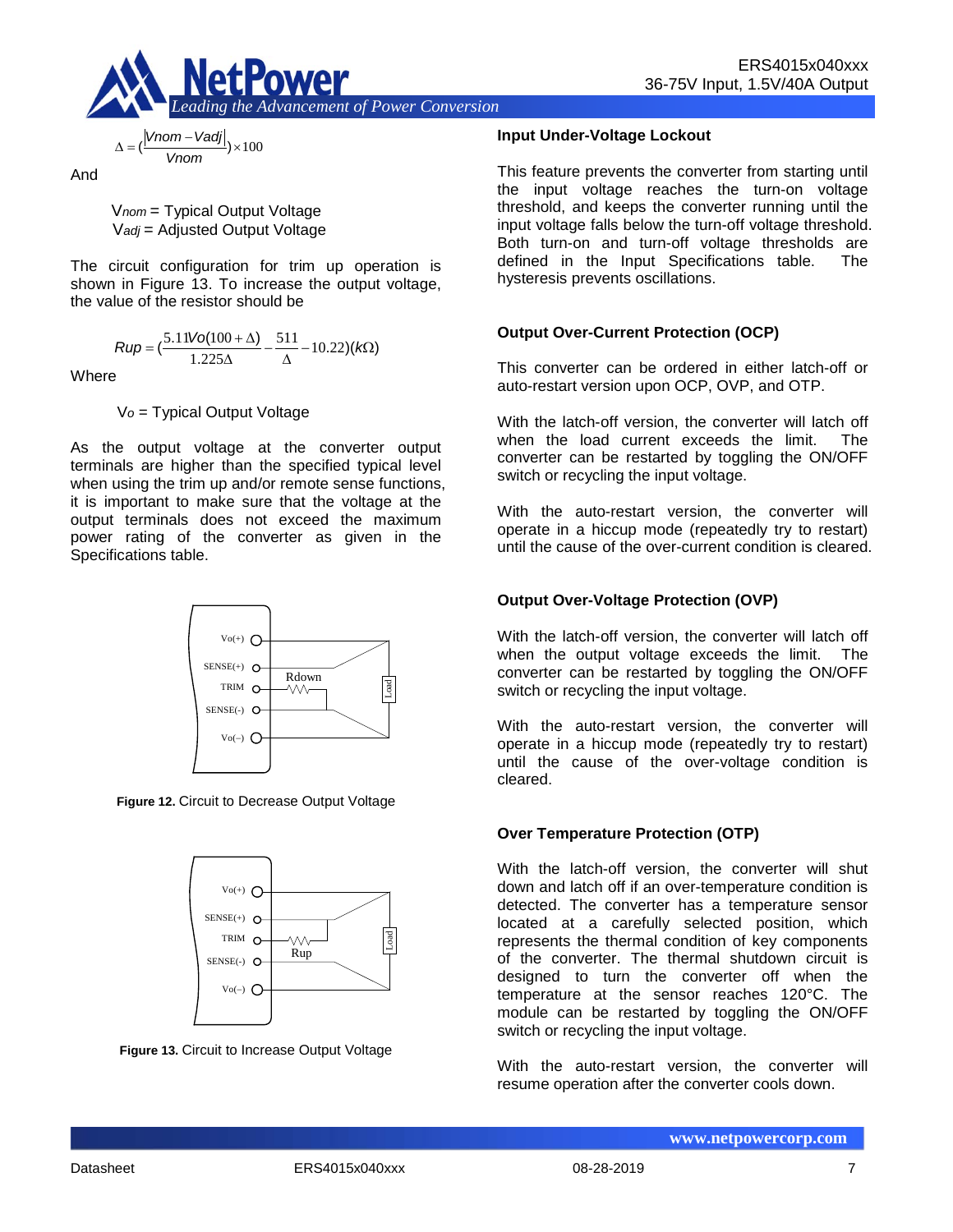

$$
\Delta = \left(\frac{|Vnom - Vadj|}{Vnom}\right) \times 100
$$

And

V*nom* = Typical Output Voltage V*adj* = Adjusted Output Voltage

The circuit configuration for trim up operation is shown in Figure 13. To increase the output voltage, the value of the resistor should be

$$
Rup = \left(\frac{5.11\text{Vol}(100+\Delta)}{1.225\Delta} - \frac{511}{\Delta} - 10.22\right)(k\Omega)
$$

**Where** 

V*o* = Typical Output Voltage

As the output voltage at the converter output terminals are higher than the specified typical level when using the trim up and/or remote sense functions, it is important to make sure that the voltage at the output terminals does not exceed the maximum power rating of the converter as given in the Specifications table.



**Figure 12.** Circuit to Decrease Output Voltage



**Figure 13.** Circuit to Increase Output Voltage

#### **Input Under-Voltage Lockout**

This feature prevents the converter from starting until the input voltage reaches the turn-on voltage threshold, and keeps the converter running until the input voltage falls below the turn-off voltage threshold. Both turn-on and turn-off voltage thresholds are defined in the Input Specifications table. The hysteresis prevents oscillations.

#### **Output Over-Current Protection (OCP)**

This converter can be ordered in either latch-off or auto-restart version upon OCP, OVP, and OTP.

With the latch-off version, the converter will latch off when the load current exceeds the limit. The converter can be restarted by toggling the ON/OFF switch or recycling the input voltage.

With the auto-restart version, the converter will operate in a hiccup mode (repeatedly try to restart) until the cause of the over-current condition is cleared.

#### **Output Over-Voltage Protection (OVP)**

With the latch-off version, the converter will latch off when the output voltage exceeds the limit. The converter can be restarted by toggling the ON/OFF switch or recycling the input voltage.

With the auto-restart version, the converter will operate in a hiccup mode (repeatedly try to restart) until the cause of the over-voltage condition is cleared.

#### **Over Temperature Protection (OTP)**

With the latch-off version, the converter will shut down and latch off if an over-temperature condition is detected. The converter has a temperature sensor located at a carefully selected position, which represents the thermal condition of key components of the converter. The thermal shutdown circuit is designed to turn the converter off when the temperature at the sensor reaches 120°C. The module can be restarted by toggling the ON/OFF switch or recycling the input voltage.

With the auto-restart version, the converter will resume operation after the converter cools down.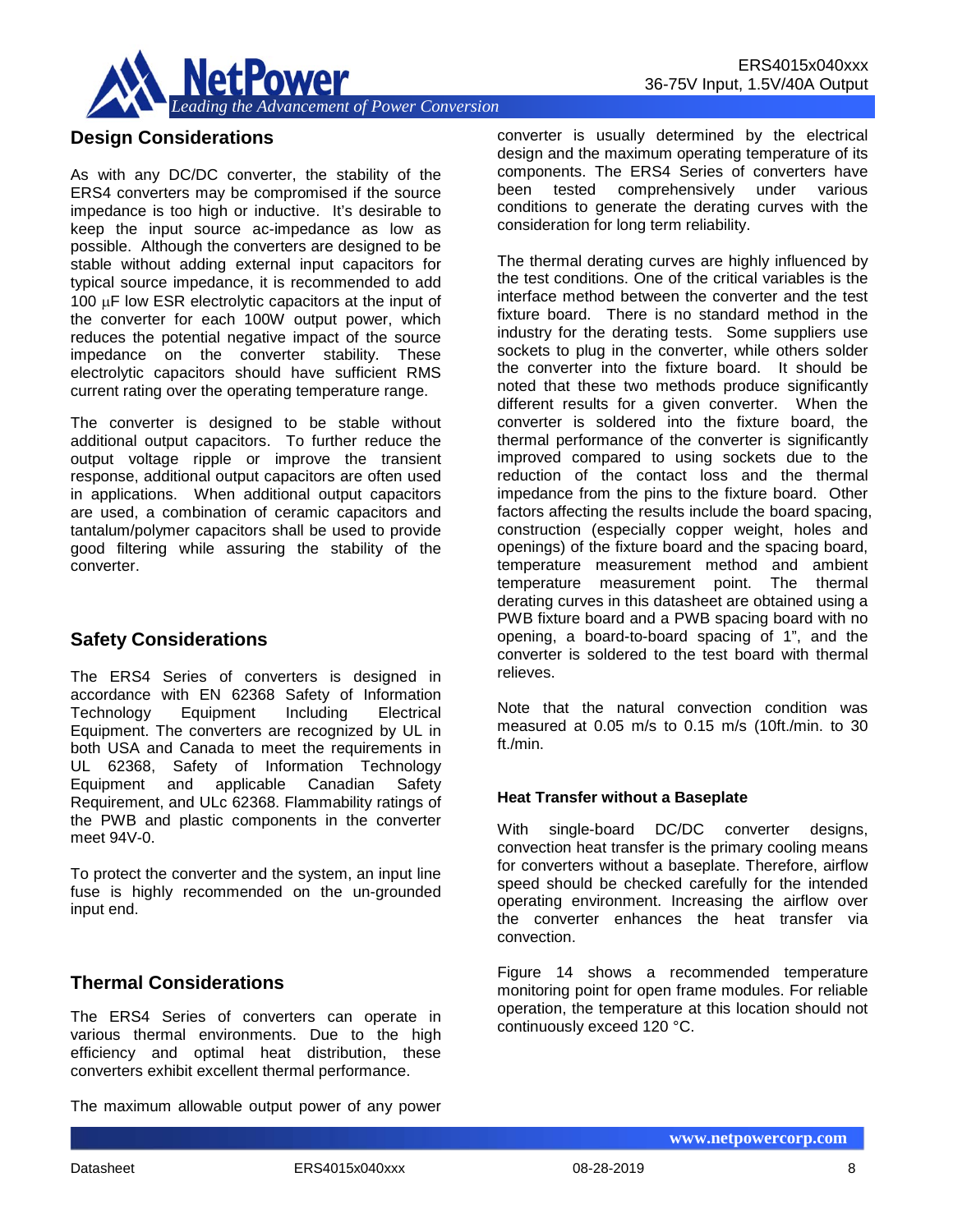

## **Design Considerations**

As with any DC/DC converter, the stability of the ERS4 converters may be compromised if the source impedance is too high or inductive. It's desirable to keep the input source ac-impedance as low as possible. Although the converters are designed to be stable without adding external input capacitors for typical source impedance, it is recommended to add 100 µF low ESR electrolytic capacitors at the input of the converter for each 100W output power, which reduces the potential negative impact of the source impedance on the converter stability. These electrolytic capacitors should have sufficient RMS current rating over the operating temperature range.

The converter is designed to be stable without additional output capacitors. To further reduce the output voltage ripple or improve the transient response, additional output capacitors are often used in applications. When additional output capacitors are used, a combination of ceramic capacitors and tantalum/polymer capacitors shall be used to provide good filtering while assuring the stability of the converter.

## **Safety Considerations**

The ERS4 Series of converters is designed in accordance with EN 62368 Safety of Information Technology Equipment Including Electrical Equipment. The converters are recognized by UL in both USA and Canada to meet the requirements in UL 62368, Safety of Information Technology Equipment and applicable Canadian Safety Requirement, and ULc 62368. Flammability ratings of the PWB and plastic components in the converter meet 94V-0.

To protect the converter and the system, an input line fuse is highly recommended on the un-grounded input end.

## **Thermal Considerations**

The ERS4 Series of converters can operate in various thermal environments. Due to the high efficiency and optimal heat distribution, these converters exhibit excellent thermal performance.

The maximum allowable output power of any power

converter is usually determined by the electrical design and the maximum operating temperature of its components. The ERS4 Series of converters have been tested comprehensively under various conditions to generate the derating curves with the consideration for long term reliability.

The thermal derating curves are highly influenced by the test conditions. One of the critical variables is the interface method between the converter and the test fixture board. There is no standard method in the industry for the derating tests. Some suppliers use sockets to plug in the converter, while others solder the converter into the fixture board. It should be noted that these two methods produce significantly different results for a given converter. When the converter is soldered into the fixture board, the thermal performance of the converter is significantly improved compared to using sockets due to the reduction of the contact loss and the thermal impedance from the pins to the fixture board. Other factors affecting the results include the board spacing, construction (especially copper weight, holes and openings) of the fixture board and the spacing board, temperature measurement method and ambient temperature measurement point. The thermal derating curves in this datasheet are obtained using a PWB fixture board and a PWB spacing board with no opening, a board-to-board spacing of 1", and the converter is soldered to the test board with thermal relieves.

Note that the natural convection condition was measured at 0.05 m/s to 0.15 m/s (10ft./min. to 30 ft./min.

#### **Heat Transfer without a Baseplate**

With single-board DC/DC converter designs, convection heat transfer is the primary cooling means for converters without a baseplate. Therefore, airflow speed should be checked carefully for the intended operating environment. Increasing the airflow over the converter enhances the heat transfer via convection.

Figure 14 shows a recommended temperature monitoring point for open frame modules. For reliable operation, the temperature at this location should not continuously exceed 120 °C.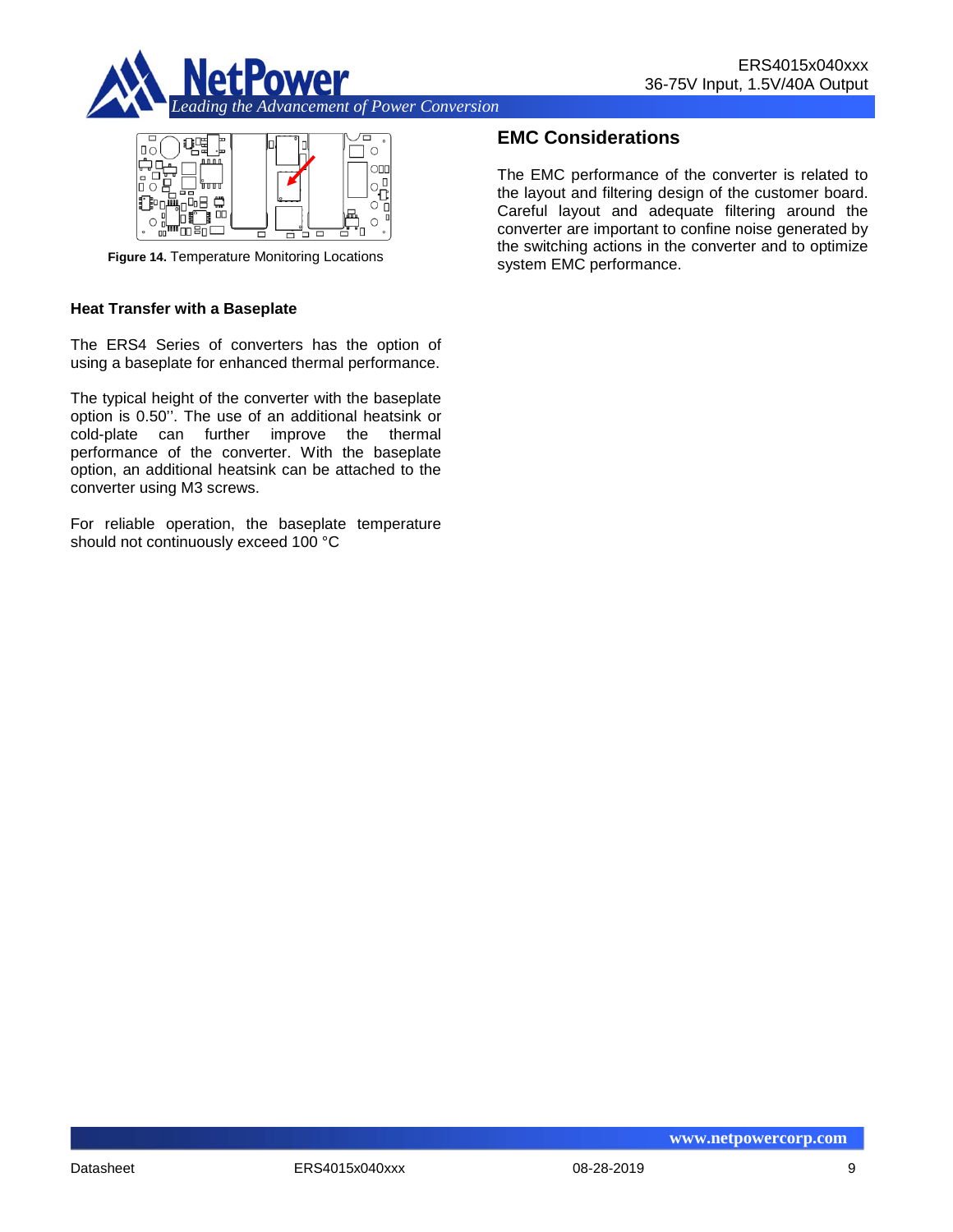



**Figure 14.** Temperature Monitoring Locations

#### **Heat Transfer with a Baseplate**

The ERS4 Series of converters has the option of using a baseplate for enhanced thermal performance.

The typical height of the converter with the baseplate option is 0.50''. The use of an additional heatsink or cold-plate can further improve the thermal performance of the converter. With the baseplate option, an additional heatsink can be attached to the converter using M3 screws.

For reliable operation, the baseplate temperature should not continuously exceed 100 °C

## **EMC Considerations**

The EMC performance of the converter is related to the layout and filtering design of the customer board. Careful layout and adequate filtering around the converter are important to confine noise generated by the switching actions in the converter and to optimize system EMC performance.